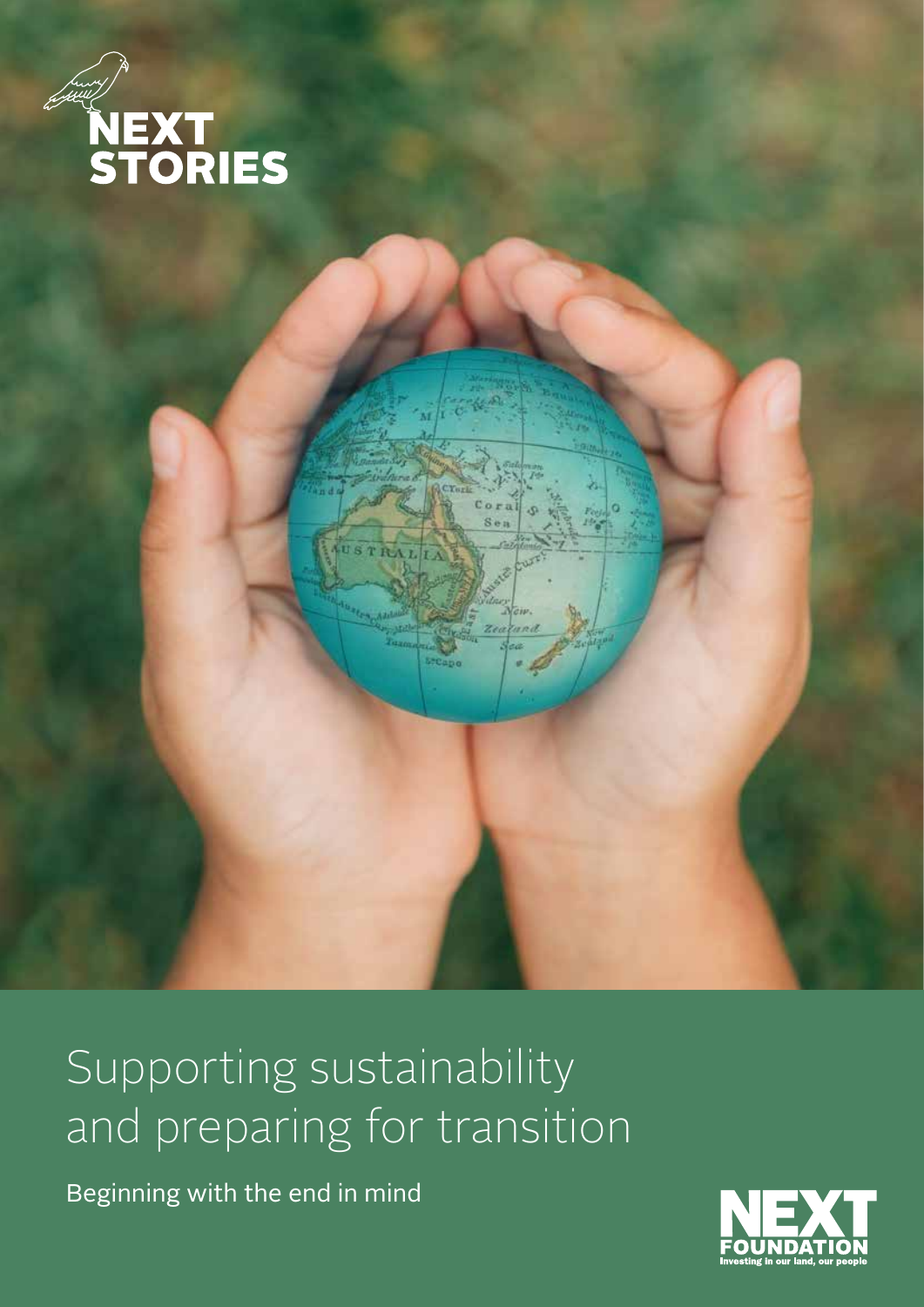

### Supporting sustainability and preparing for transition

Beginning with the end in mind

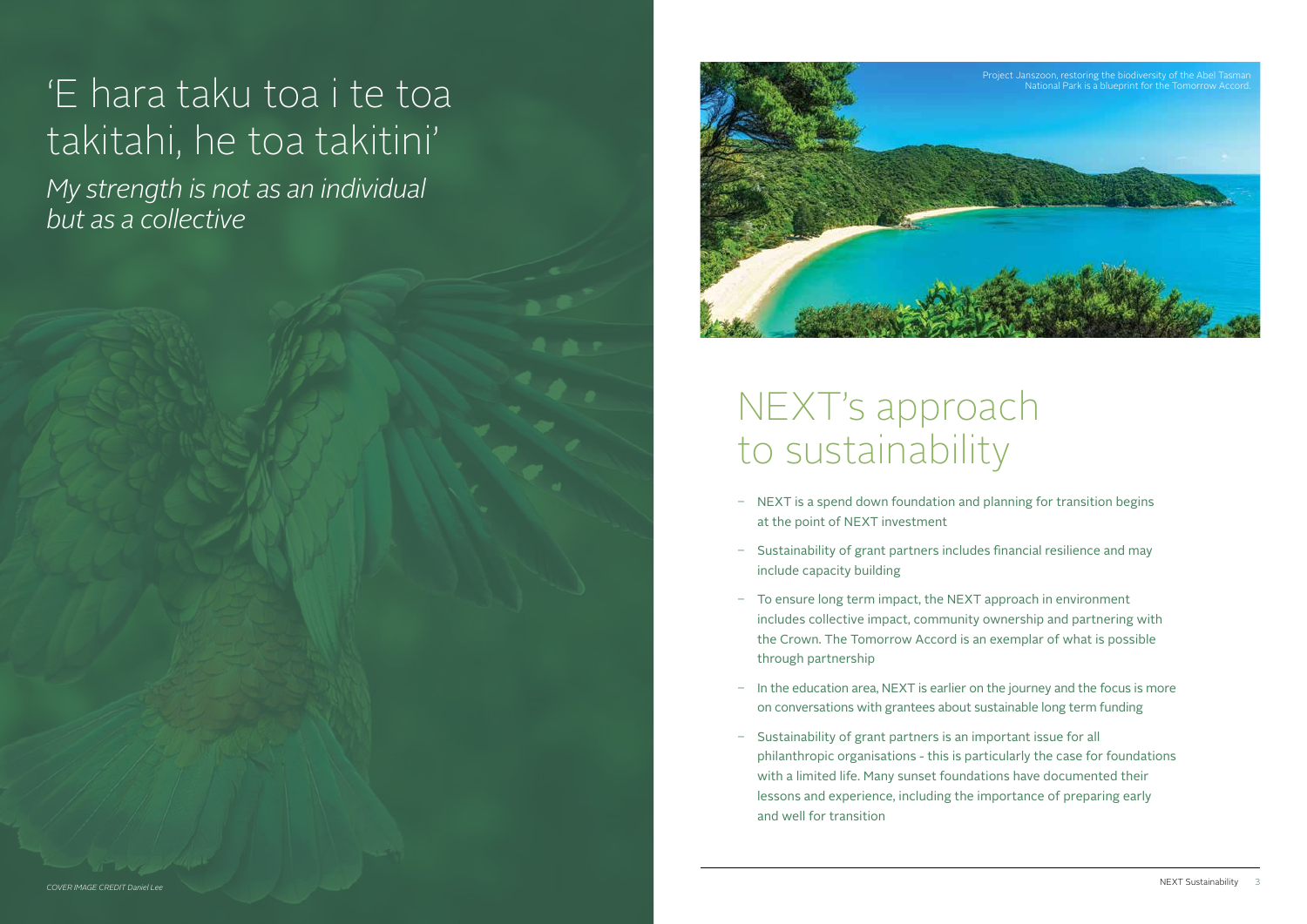- NEXT is a spend down foundation and planning for transition begins at the point of NEXT investment
- Sustainability of grant partners includes financial resilience and may include capacity building
- To ensure long term impact, the NEXT approach in environment includes collective impact, community ownership and partnering with the Crown. The Tomorrow Accord is an exemplar of what is possible through partnership
- In the education area, NEXT is earlier on the journey and the focus is more on conversations with grantees about sustainable long term funding
- Sustainability of grant partners is an important issue for all philanthropic organisations - this is particularly the case for foundations with a limited life. Many sunset foundations have documented their lessons and experience, including the importance of preparing early and well for transition

## 'E hara taku toa i te toa takitahi, he toa takitini'

*My strength is not as an individual but as a collective* 

### NEXT's approach to sustainability

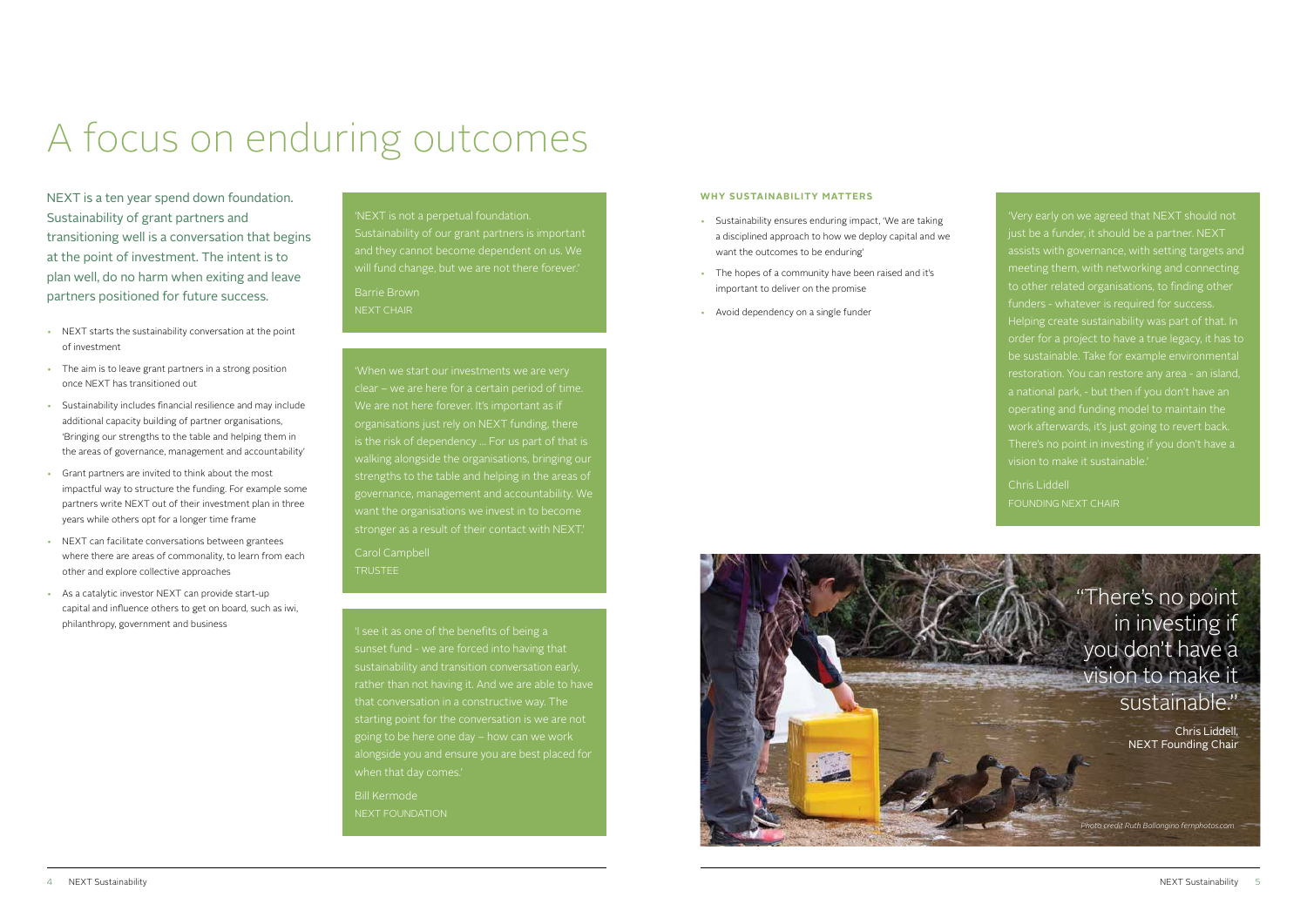# A focus on enduring outcomes

'Very early on we agreed that NEXT should not just be a funder, it should be a partner. NEXT assists with governance, with setting targets and meeting them, with networking and connecting to other related organisations, to finding other funders - whatever is required for success. Helping create sustainability was part of that. In order for a project to have a true legacy, it has to be sustainable. Take for example environmental operating and funding model to maintain the work afterwards, it's just going to revert back. vision to make it sustainable.'

Chris Liddell FOUNDING NEXT CHAIR

We are not here forever. It's important as if organisations just rely on NEXT funding, there walking alongside the organisations, bringing our strengths to the table and helping in the areas of governance, management and accountability. We want the organisations we invest in to become stronger as a result of their contact with NEXT.'

'I see it as one of the benefits of being a sunset fund - we are forced into having that sustainability and transition conversation early, starting point for the conversation is we are not going to be here one day – how can we work alongside you and ensure you are best placed for

Bill Kermode NEXT FOUNDATION

### 'NEXT is not a perpetual foundation. Sustainability of our grant partners is important and they cannot become dependent on us. We will fund change, but we are not there forever.' Barrie Brown NEXT CHAIR

Carol Campbell TRUSTEE

NEXT is a ten year spend down foundation. Sustainability of grant partners and transitioning well is a conversation that begins at the point of investment. The intent is to plan well, do no harm when exiting and leave partners positioned for future success.

- NEXT starts the sustainability conversation at the point of investment
- The aim is to leave grant partners in a strong position once NEXT has transitioned out
- Sustainability includes financial resilience and may include additional capacity building of partner organisations, 'Bringing our strengths to the table and helping them in the areas of governance, management and accountability'
- Grant partners are invited to think about the most impactful way to structure the funding. For example some partners write NEXT out of their investment plan in three years while others opt for a longer time frame
- NEXT can facilitate conversations between grantees where there are areas of commonality, to learn from each other and explore collective approaches
- As a catalytic investor NEXT can provide start-up capital and influence others to get on board, such as iwi, philanthropy, government and business

#### **WHY SUSTAINABILITY MATTERS**

- Sustainability ensures enduring impact, 'We are taking a disciplined approach to how we deploy capital and we want the outcomes to be enduring'
- The hopes of a community have been raised and it's important to deliver on the promise
- Avoid dependency on a single funder





Chris Liddell, NEXT Founding Chair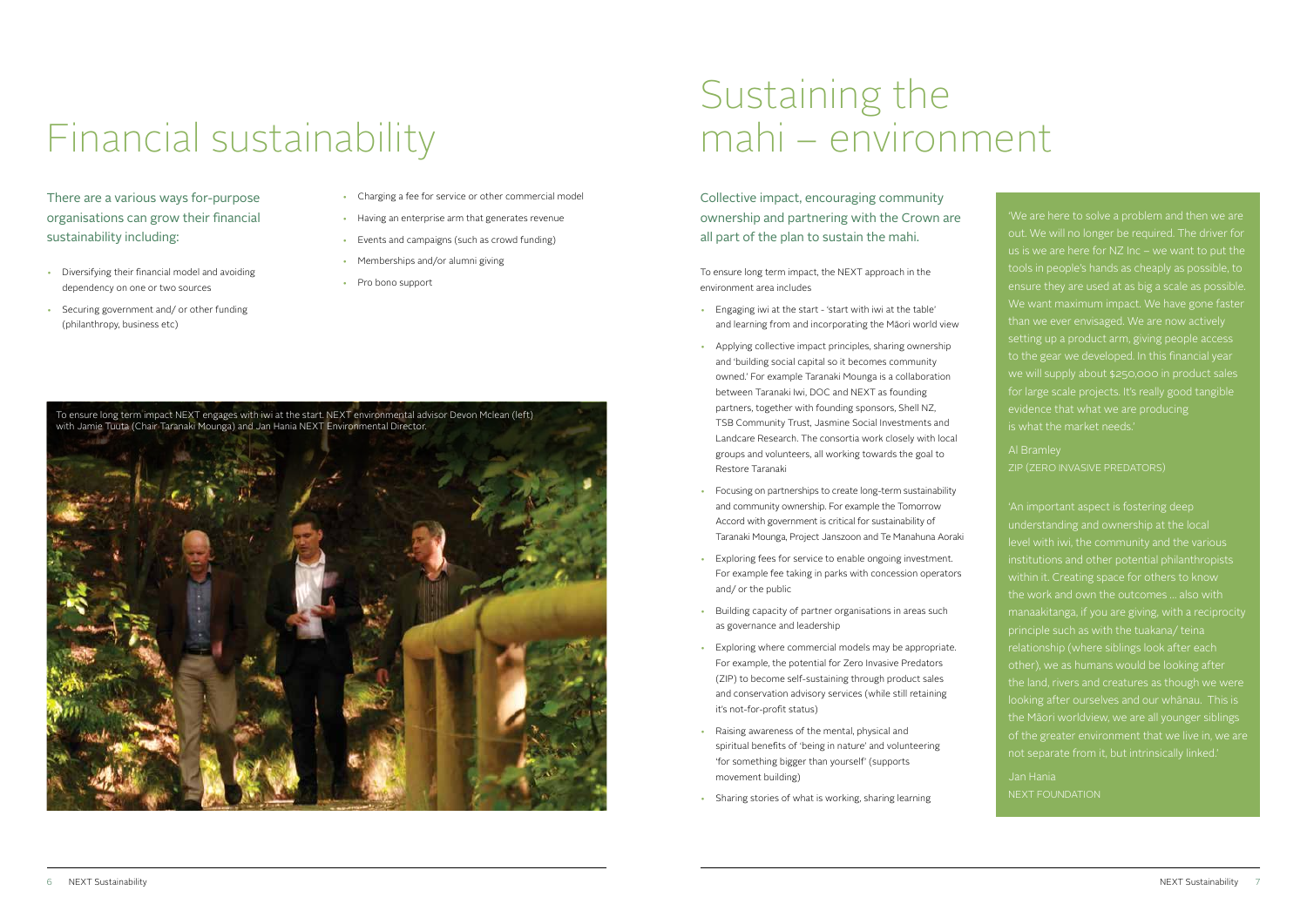There are a various ways for-purpose organisations can grow their financial sustainability including:

- Diversifying their financial model and avoiding dependency on one or two sources
- Securing government and/ or other funding (philanthropy, business etc)

Collective impact, encouraging community ownership and partnering with the Crown are all part of the plan to sustain the mahi.

To ensure long term impact, the NEXT approach in the environment area includes

- Engaging iwi at the start 'start with iwi at the table' and learning from and incorporating the Māori world view
- Applying collective impact principles, sharing ownership and 'building social capital so it becomes community owned.' For example Taranaki Mounga is a collaboration between Taranaki Iwi, DOC and NEXT as founding partners, together with founding sponsors, Shell NZ, TSB Community Trust, Jasmine Social Investments and Landcare Research. The consortia work closely with local groups and volunteers, all working towards the goal to Restore Taranaki
- Focusing on partnerships to create long-term sustainability and community ownership. For example the Tomorrow Accord with government is critical for sustainability of Taranaki Mounga, Project Janszoon and Te Manahuna Aoraki
- Exploring fees for service to enable ongoing investment. For example fee taking in parks with concession operators and/ or the public
- Building capacity of partner organisations in areas such as governance and leadership
- Exploring where commercial models may be appropriate. For example, the potential for Zero Invasive Predators (ZIP) to become self-sustaining through product sales and conservation advisory services (while still retaining it's not-for-profit status)
- Raising awareness of the mental, physical and spiritual benefits of 'being in nature' and volunteering 'for something bigger than yourself' (supports movement building)
- Sharing stories of what is working, sharing learning

# Financial sustainability

## Sustaining the mahi – environment

'We are here to solve a problem and then we are out. We will no longer be required. The driver for tools in people's hands as cheaply as possible, to ensure they are used at as big a scale as possible. We want maximum impact. We have gone faster than we ever envisaged. We are now actively setting up a product arm, giving people access to the gear we developed. In this financial year we will supply about \$250,000 in product sales for large scale projects. It's really good tangible evidence that what we are producing

ZIP (ZERO INVASIVE PREDATORS)

'An important aspect is fostering deep understanding and ownership at the local institutions and other potential philanthropists within it. Creating space for others to know the work and own the outcomes … also with manaakitanga, if you are giving, with a reciprocity principle such as with the tuakana/ teina relationship (where siblings look after each other), we as humans would be looking after the land, rivers and creatures as though we were looking after ourselves and our whānau. This is the Māori worldview, we are all younger siblings of the greater environment that we live in, we are not separate from it, but intrinsically linked.'

Jan Hania NEXT FOUNDATION

- Charging a fee for service or other commercial model
- Having an enterprise arm that generates revenue
- Events and campaigns (such as crowd funding)
- Memberships and/or alumni giving
- Pro bono support

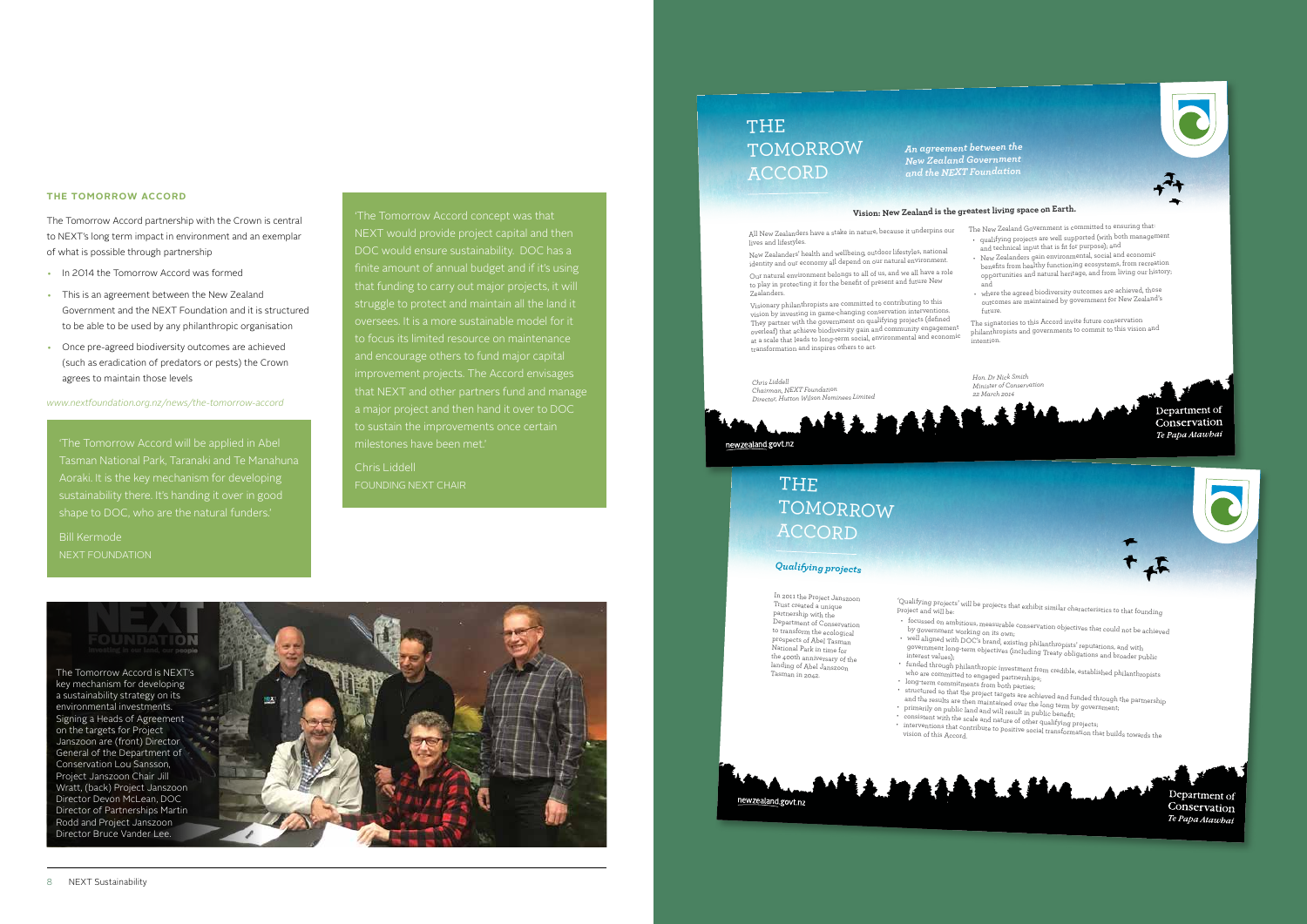'The Tomorrow Accord will be applied in Abel Aoraki. It is the key mechanism for developing sustainability there. It's handing it over in good shape to DOC, who are the natural funders.'

**Bill Kermode** 

'The Tomorrow Accord concept was that NEXT would provide project capital and then finite amount of annual budget and if it's using that funding to carry out major projects, it will struggle to protect and maintain all the land it oversees. It is a more sustainable model for it and encourage others to fund major capital improvement projects. The Accord envisages that NEXT and other partners fund and manage a major project and then hand it over to DOC to sustain the improvements once certain milestones have been met.'

Chris Liddell FOUNDING NEXT CHAIR

#### **THE TOMORROW ACCORD**

- 
- by government working on its own;
- 
- who are committed to engaged partnerships;
- long-term commitments from both parties;
- and the feature are then insurrounted over the long term by<br>primarily on public land and will result in public benefit;
- primarily on public dangenous marrorum in public below.<br>• consistent with the scale and nature of other qualifying projects;
- 



The Tomorrow Accord partnership with the Crown is central to NEXT's long term impact in environment and an exemplar of what is possible through partnership

> • structured so that the project targets are achieved and funded through the partnership and the results are then maintained over the long term by government;

- In 2014 the Tomorrow Accord was formed This is an agreement between the New Zealand
- Government and the NEXT Foundation and it is structured to be able to be used by any philanthropic organisation
- Once pre-agreed biodiversity outcomes are achieved (such as eradication of predators or pests) the Crown agrees to maintain those levels

*www.nextfoundation.org.nz/news/the-tomorrow-accord* 

#### *Qualifying projects*

In 2011 the Project Janszoon Trust created a unique partnership with the Department of Conservation to transform the ecological prospects of Abel Tasman National Park in time for the 400th anniversary of the landing of Abel Janszoon Tasman in 2042.

'Qualifying projects' will be projects that exhibit similar characteristics to that founding project and will be:

• focussed on ambitious, measurable conservation objectives that could not be achieved

• well aligned with DOC's brand, existing philanthropists' reputations, and with government long-term objectives (including Treaty obligations and broader public interest values);

• funded through philanthropic investment from credible, established philanthropists

• interventions that contribute to positive social transformation that builds towards the vision of this Accord.

Department of Conservation Te Papa Atawhai

### THE TOMORROW ACCORD

### THE TOMORROW ACCORD

#### **Vision: New Zealand is the greatest living space on Earth.**



newzealand.govt.nz

*Hon. Dr Nick Smith Minister of Conser 22 March 2014*

> Department of Conservation Te Papa Atawbai

*An agreement between the New Zealand Government and the NEXT Foundation*

lives and lifestyles.

New Zealanders' health and wellbeing, outdoor lifestyles, national identity and our economy all depend on our natural environment.

Our natural environment belongs to all of us, and we all have a role to play in protecting it for the benefit of present and future New Zealanders.

All New Zealanders have a stake in nature, because it underpins our The New Zealand Government is committed to ensuring that: qualifying projects are well supported (with both management and technical input that is fit for purpose); and

Visionary philanthropists are committed to contributing to this vision by investing in game-changing conservation intervention They partner with the government on qualifying projects (defined overleaf) that achieve biodiversity gain and community engagement at a scale that leads to long-term social, environmental and economic transformation and inspires others to act.

• New Zealanders gain environmental, social and economic benefits from healthy functioning ecosystems, from recreation opportunities and natural heritage, and from living our history; and

• where the agreed biodiversity outcomes are achieved, those outcomes are maintained by government for New Zealand's future.

The signatories to this Accord invite future conservation philanthropists and governments to commit to this vision and intention.



Director of Partnerships Martin Rodd and Project Janszoon Director Bruce Vander Lee.

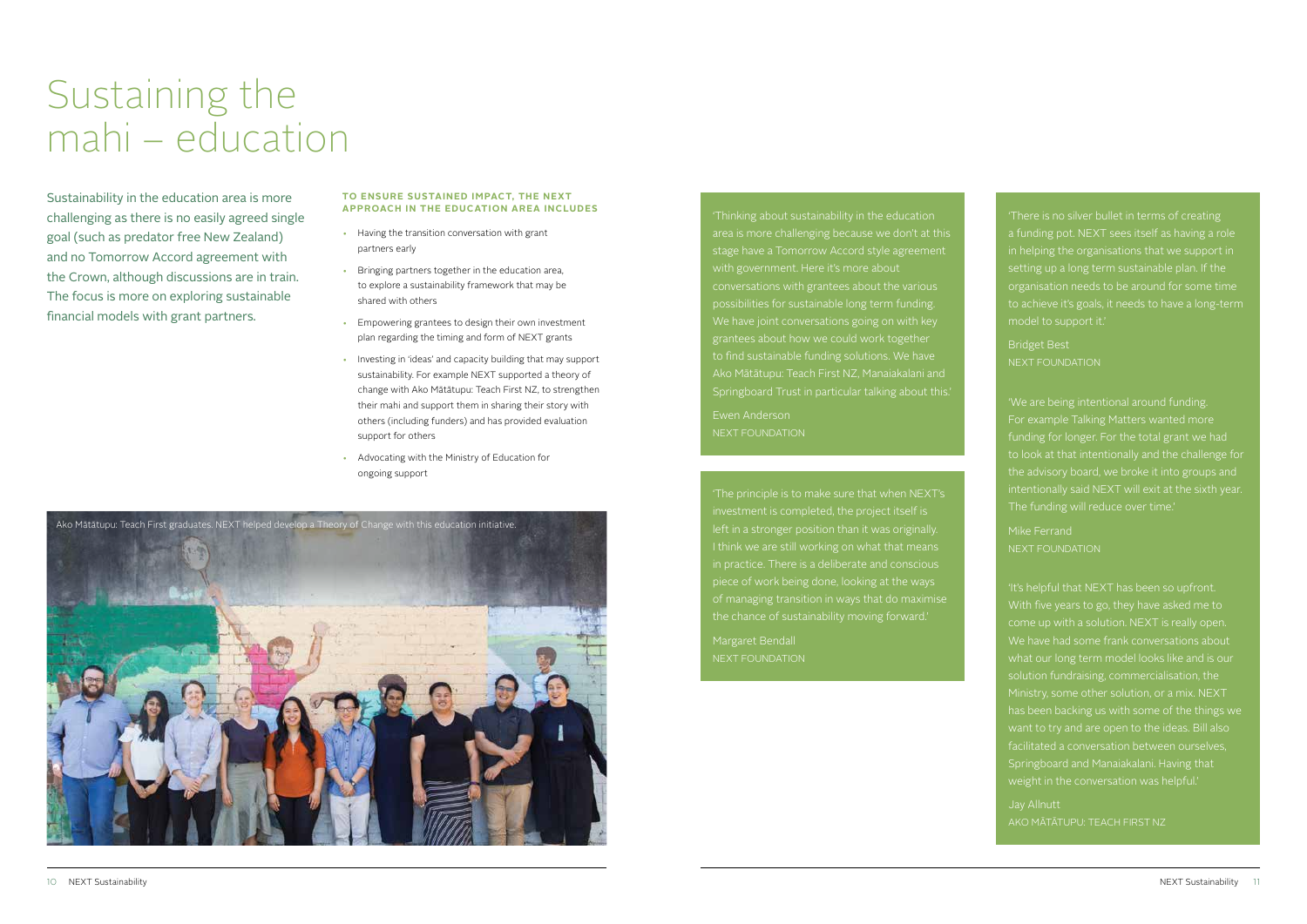## Sustaining the mahi – education

Sustainability in the education area is more challenging as there is no easily agreed single goal (such as predator free New Zealand) and no Tomorrow Accord agreement with the Crown, although discussions are in train. The focus is more on exploring sustainable financial models with grant partners.

'Thinking about sustainability in the education area is more challenging because we don't at this stage have a Tomorrow Accord style agreement with government. Here it's more about conversations with grantees about the various possibilities for sustainable long term funding. We have joint conversations going on with key grantees about how we could work together to find sustainable funding solutions. We have Ako Mātātupu: Teach First NZ, Manaiakalani and Springboard Trust in particular talking about this.'

Ewen Anderson NEXT FOUNDATION

'The principle is to make sure that when NEXT's investment is completed, the project itself is left in a stronger position than it was originally. in practice. There is a deliberate and conscious piece of work being done, looking at the ways of managing transition in ways that do maximise the chance of sustainability moving forward.'

Margaret Bendall

'There is no silver bullet in terms of creating a funding pot. NEXT sees itself as having a role in helping the organisations that we support in setting up a long term sustainable plan. If the organisation needs to be around for some time to achieve it's goals, it needs to have a long-term model to support it.'

Bridget Best NEXT FOUNDATION

'We are being intentional around funding. For example Talking Matters wanted more funding for longer. For the total grant we had to look at that intentionally and the challenge for the advisory board, we broke it into groups and The funding will reduce over time.'

Mike Ferrand NEXT FOUNDATION

'It's helpful that NEXT has been so upfront. With five years to go, they have asked me to come up with a solution. NEXT is really open. We have had some frank conversations about what our long term model looks like and is our solution fundraising, commercialisation, the has been backing us with some of the things we facilitated a conversation between ourselves, Springboard and Manaiakalani. Having that weight in the conversation was helpful.'

Jay Allnutt AKO MĀTĀTUPU: TEACH FIRST NZ

#### **TO ENSURE SUSTAINED IMPACT, THE NEXT APPROACH IN THE EDUCATION AREA INCLUDES**

- Having the transition conversation with grant partners early
- Bringing partners together in the education area, to explore a sustainability framework that may be shared with others
- Empowering grantees to design their own investment plan regarding the timing and form of NEXT grants
- Investing in 'ideas' and capacity building that may support sustainability. For example NEXT supported a theory of change with Ako Mātātupu: Teach First NZ, to strengthen their mahi and support them in sharing their story with others (including funders) and has provided evaluation support for others
- Advocating with the Ministry of Education for ongoing support

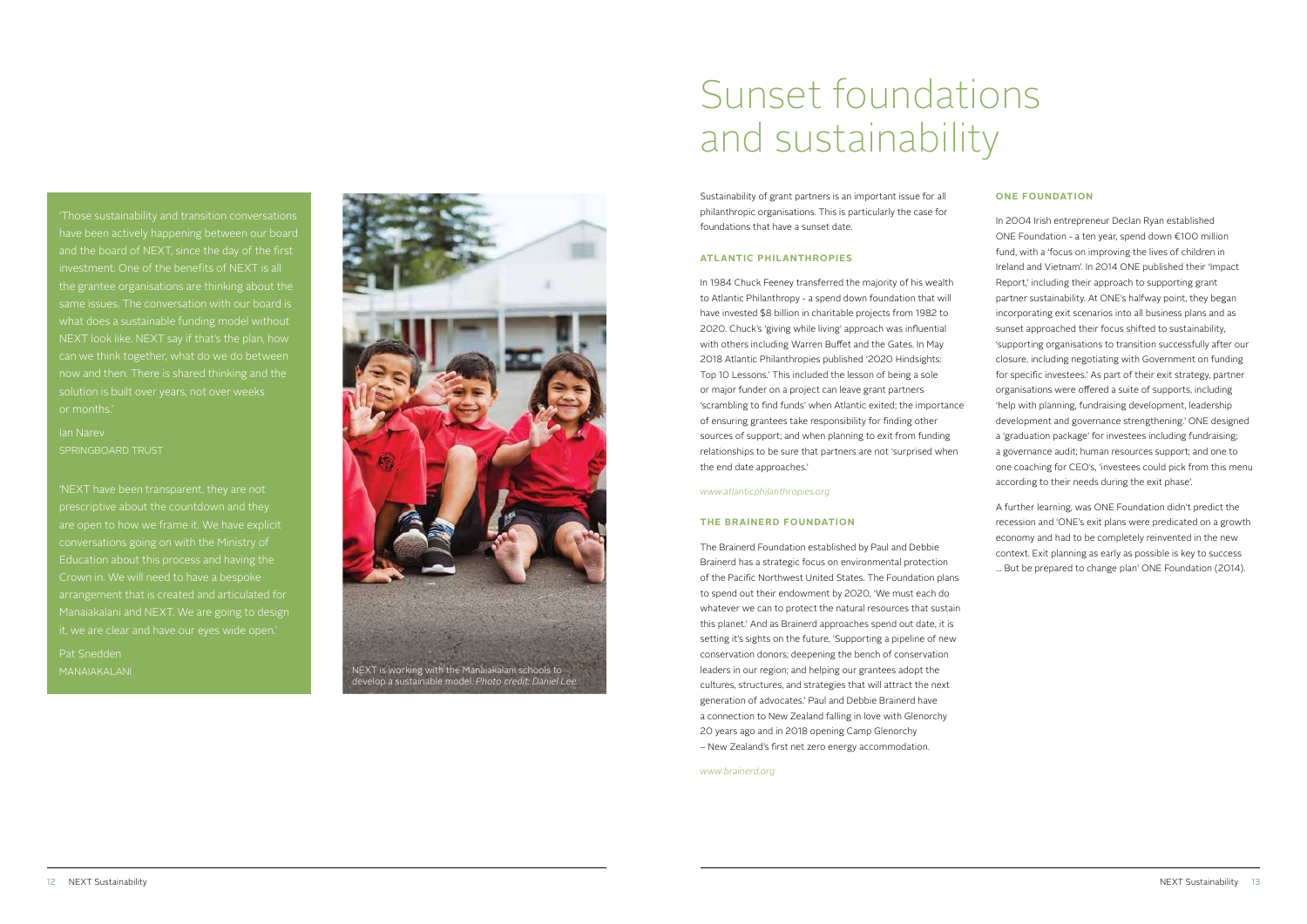## Sunset foundations and sustainability

Sustainability of grant partners is an important issue for all philanthropic organisations. This is particularly the case for foundations that have a sunset date.

#### **ATLANTIC PHILANTHROPIES**

In 1984 Chuck Feeney transferred the majority of his wealth to Atlantic Philanthropy - a spend down foundation that will have invested \$8 billion in charitable projects from 1982 to 2020. Chuck's 'giving while living' approach was influential with others including Warren Buffet and the Gates. In May 2018 Atlantic Philanthropies published '2020 Hindsights: Top 10 Lessons.' This included the lesson of being a sole or major funder on a project can leave grant partners 'scrambling to find funds' when Atlantic exited; the importance of ensuring grantees take responsibility for finding other sources of support; and when planning to exit from funding relationships to be sure that partners are not 'surprised when the end date approaches.'

*www.atlanticphilanthropies.org* 

#### **THE BRAINERD FOUNDATION**

The Brainerd Foundation established by Paul and Debbie Brainerd has a strategic focus on environmental protection of the Pacific Northwest United States. The Foundation plans to spend out their endowment by 2020, 'We must each do whatever we can to protect the natural resources that sustain this planet.' And as Brainerd approaches spend out date, it is setting it's sights on the future, 'Supporting a pipeline of new conservation donors; deepening the bench of conservation leaders in our region; and helping our grantees adopt the cultures, structures, and strategies that will attract the next generation of advocates.' Paul and Debbie Brainerd have a connection to New Zealand falling in love with Glenorchy 20 years ago and in 2018 opening Camp Glenorchy – New Zealand's first net zero energy accommodation.

*www.brainerd.org*

#### **ONE FOUNDATION**

In 2004 Irish entrepreneur Declan Ryan established ONE Foundation - a ten year, spend down €100 million fund, with a 'focus on improving the lives of children in Ireland and Vietnam'. In 2014 ONE published their 'Impact Report,' including their approach to supporting grant partner sustainability. At ONE's halfway point, they began incorporating exit scenarios into all business plans and as sunset approached their focus shifted to sustainability, 'supporting organisations to transition successfully after our closure, including negotiating with Government on funding for specific investees.' As part of their exit strategy, partner organisations were offered a suite of supports, including 'help with planning, fundraising development, leadership development and governance strengthening.' ONE designed a 'graduation package' for investees including fundraising; a governance audit; human resources support; and one to one coaching for CEO's, 'investees could pick from this menu according to their needs during the exit phase'.

A further learning, was ONE Foundation didn't predict the recession and 'ONE's exit plans were predicated on a growth economy and had to be completely reinvented in the new context. Exit planning as early as possible is key to success … But be prepared to change plan' ONE Foundation (2014).

have been actively happening between our board and the board of NEXT, since the day of the first investment. One of the benefits of NEXT is all the grantee organisations are thinking about the what does a sustainable funding model without can we think together, what do we do between now and then. There is shared thinking and the or months.'

### Ian Narev SPRINGBOARD TRUST

'NEXT have been transparent, they are not prescriptive about the countdown and they are open to how we frame it. We have explicit conversations going on with the Ministry of Education about this process and having the Crown in. We will need to have a bespoke arrangement that is created and articulated for Manaiakalani and NEXT. We are going to design it, we are clear and have our eyes wide open.'

Pat Snedden

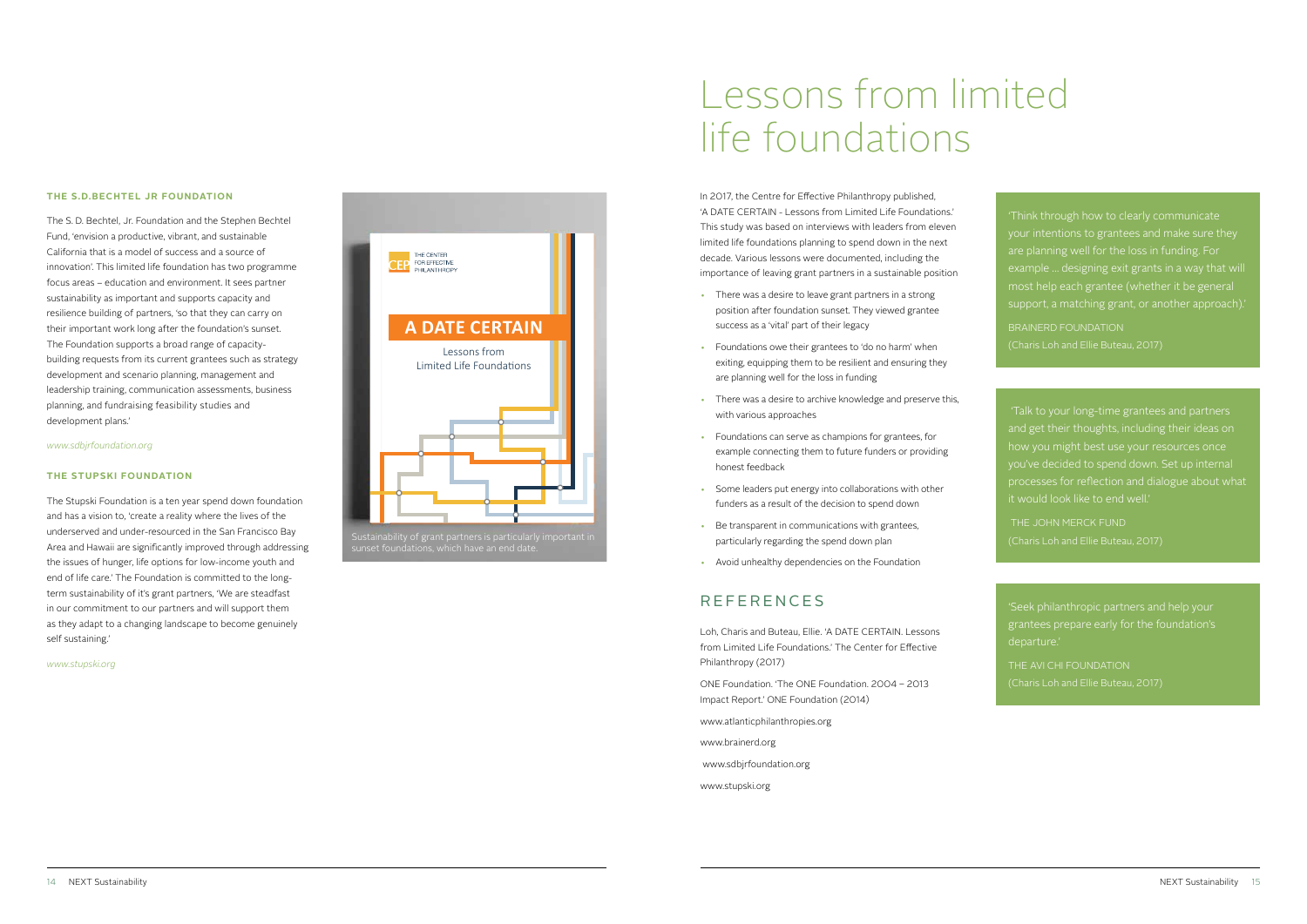### Lessons from limited life foundations

'Think through how to clearly communicate your intentions to grantees and make sure they are planning well for the loss in funding. For example … designing exit grants in a way that will most help each grantee (whether it be general support, a matching grant, or another approach).'

(Charis Loh and Ellie Buteau, 2017)

 'Talk to your long-time grantees and partners and get their thoughts, including their ideas on how you might best use your resources once you've decided to spend down. Set up internal processes for reflection and dialogue about what it would look like to end well.'

THE JOHN MERCK FUND

'Seek philanthropic partners and help your grantees prepare early for the foundation's departure.'

THE AVI CHI FOUNDATION

In 2017, the Centre for Effective Philanthropy published, 'A DATE CERTAIN - Lessons from Limited Life Foundations.' This study was based on interviews with leaders from eleven limited life foundations planning to spend down in the next decade. Various lessons were documented, including the importance of leaving grant partners in a sustainable position

- There was a desire to leave grant partners in a strong position after foundation sunset. They viewed grantee success as a 'vital' part of their legacy
- Foundations owe their grantees to 'do no harm' when exiting, equipping them to be resilient and ensuring they are planning well for the loss in funding
- There was a desire to archive knowledge and preserve this, with various approaches
- Foundations can serve as champions for grantees, for example connecting them to future funders or providing honest feedback
- Some leaders put energy into collaborations with other funders as a result of the decision to spend down
- Be transparent in communications with grantees, particularly regarding the spend down plan
- Avoid unhealthy dependencies on the Foundation

Loh, Charis and Buteau, Ellie. 'A DATE CERTAIN. Lessons from Limited Life Foundations.' The Center for Effective Philanthropy (2017)

ONE Foundation. 'The ONE Foundation. 2004 – 2013 Impact Report.' ONE Foundation (2014)

www.atlanticphilanthropies.org

- www.brainerd.org
- www.sdbjrfoundation.org
- www.stupski.org

### REFERENCES

#### **THE S.D.BECHTEL JR FOUNDATION**

The S. D. Bechtel, Jr. Foundation and the Stephen Bechtel Fund, 'envision a productive, vibrant, and sustainable California that is a model of success and a source of innovation'. This limited life foundation has two programme focus areas – education and environment. It sees partner sustainability as important and supports capacity and resilience building of partners, 'so that they can carry on their important work long after the foundation's sunset. The Foundation supports a broad range of capacitybuilding requests from its current grantees such as strategy development and scenario planning, management and leadership training, communication assessments, business planning, and fundraising feasibility studies and development plans.'

#### *www.sdbjrfoundation.org*

#### **THE STUPSKI FOUNDATION**

The Stupski Foundation is a ten year spend down foundation and has a vision to, 'create a reality where the lives of the underserved and under-resourced in the San Francisco Bay Area and Hawaii are significantly improved through addressing the issues of hunger, life options for low-income youth and end of life care.' The Foundation is committed to the longterm sustainability of it's grant partners, 'We are steadfast in our commitment to our partners and will support them as they adapt to a changing landscape to become genuinely self sustaining.'

#### *www.stupski.org*